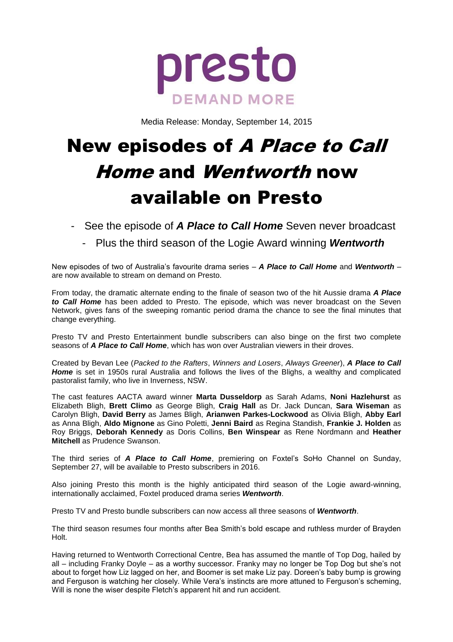

Media Release: Monday, September 14, 2015

# New episodes of A Place to Call Home and Wentworth now available on Presto

- See the episode of *A Place to Call Home* Seven never broadcast
	- Plus the third season of the Logie Award winning *Wentworth*

New episodes of two of Australia's favourite drama series – *A Place to Call Home* and *Wentworth* – are now available to stream on demand on Presto.

From today, the dramatic alternate ending to the finale of season two of the hit Aussie drama *A Place to Call Home* has been added to Presto. The episode, which was never broadcast on the Seven Network, gives fans of the sweeping romantic period drama the chance to see the final minutes that change everything.

Presto TV and Presto Entertainment bundle subscribers can also binge on the first two complete seasons of *A Place to Call Home*, which has won over Australian viewers in their droves.

Created by Bevan Lee (*Packed to the Rafters*, *Winners and Losers*, *Always Greener*), *A Place to Call Home* is set in 1950s rural Australia and follows the lives of the Blighs, a wealthy and complicated pastoralist family, who live in Inverness, NSW.

The cast features AACTA award winner **Marta Dusseldorp** as Sarah Adams, **Noni Hazlehurst** as Elizabeth Bligh, **Brett Climo** as George Bligh, **Craig Hall** as Dr. Jack Duncan, **Sara Wiseman** as Carolyn Bligh, **David Berry** as James Bligh, **Arianwen Parkes-Lockwood** as Olivia Bligh, **Abby Earl** as Anna Bligh, **Aldo Mignone** as Gino Poletti, **Jenni Baird** as Regina Standish, **Frankie J. Holden** as Roy Briggs, **Deborah Kennedy** as Doris Collins, **Ben Winspear** as Rene Nordmann and **Heather Mitchell** as Prudence Swanson.

The third series of *A Place to Call Home*, premiering on Foxtel's SoHo Channel on Sunday, September 27, will be available to Presto subscribers in 2016.

Also joining Presto this month is the highly anticipated third season of the Logie award-winning, internationally acclaimed, Foxtel produced drama series *Wentworth*.

Presto TV and Presto bundle subscribers can now access all three seasons of *Wentworth*.

The third season resumes four months after Bea Smith's bold escape and ruthless murder of Brayden Holt.

Having returned to Wentworth Correctional Centre, Bea has assumed the mantle of Top Dog, hailed by all – including Franky Doyle – as a worthy successor. Franky may no longer be Top Dog but she's not about to forget how Liz lagged on her, and Boomer is set make Liz pay. Doreen's baby bump is growing and Ferguson is watching her closely. While Vera's instincts are more attuned to Ferguson's scheming, Will is none the wiser despite Fletch's apparent hit and run accident.